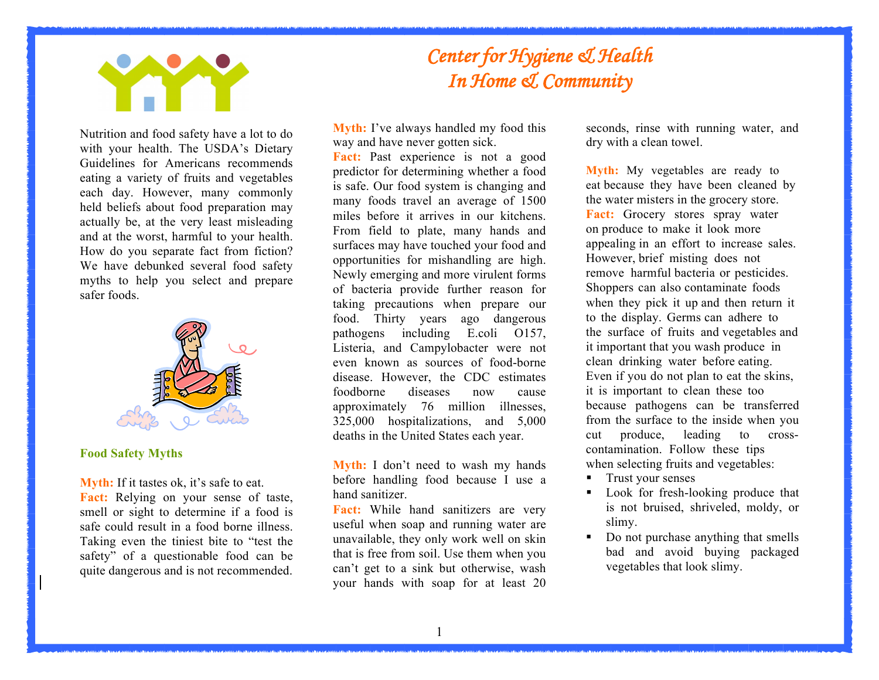

 Nutrition and food safety have a lot to do with your health. The USDA's Dietary Guidelines for Americans recommends eating a variety of fruits and vegetables each day. However, many commonly held beliefs about food preparation may actually be, at the very least misleading and at the worst, harmful to your health. How do you separate fact from fiction? We have debunked several food safety myths to help you select and prepare safer foods.



## **Food Safety Myths**

 **Myth:** If it tastes ok, it's safe to eat. **Fact:** Relying on your sense of taste, smell or sight to determine if a food is safe could result in a food borne illness. Taking even the tiniest bite to "test the safety" of a questionable food can be quite dangerous and is not recommended.

## *Center for Hygiene & Health In Home & Community*

 way and have never gotten sick. **Myth:** I've always handled my food this

Fact: Past experience is not a good predictor for determining whether a food is safe. Our food system is changing and many foods travel an average of 1500 miles before it arrives in our kitchens. From field to plate, many hands and surfaces may have touched your food and opportunities for mishandling are high. Newly emerging and more virulent forms of bacteria provide further reason for taking precautions when prepare our Listeria, and Campylobacter were not even known as sources of food-borne disease. However, the CDC estimates foodborne diseases now cause approximately 76 million illnesses, food. Thirty years ago dangerous pathogens including E.coli O157, 325,000 hospitalizations, and 5,000 deaths in the United States each year.

Myth: I don't need to wash my hands before handling food because I use a hand sanitizer.

Fact: While hand sanitizers are very useful when soap and running water are unavailable, they only work well on skin that is free from soil. Use them when you can't get to a sink but otherwise, wash your hands with soap for at least 20  seconds, rinse with running water, and dry with a clean towel.

 **Myth:** My vegetables are ready to eat because they have been cleaned by the water misters in the grocery store. **Fact:** Grocery stores spray water on produce to make it look more appealing in an effort to increase sales. However, brief misting does not remove harmful bacteria or pesticides. Shoppers can also contaminate foods when they pick it up and then return it to the display. Germs can adhere to the surface of fruits and vegetables and it important that you wash produce in clean drinking water before eating. Even if you do not plan to eat the skins, it is important to clean these too because pathogens can be transferred from the surface to the inside when you cut produce, leading to cross- contamination. Follow these tips when selecting fruits and vegetables:

- **•** Trust your senses
- • Look for fresh-looking produce that is not bruised, shriveled, moldy, or slimy.
- Do not purchase anything that smells vegetables that look slimy. bad and avoid buying packaged